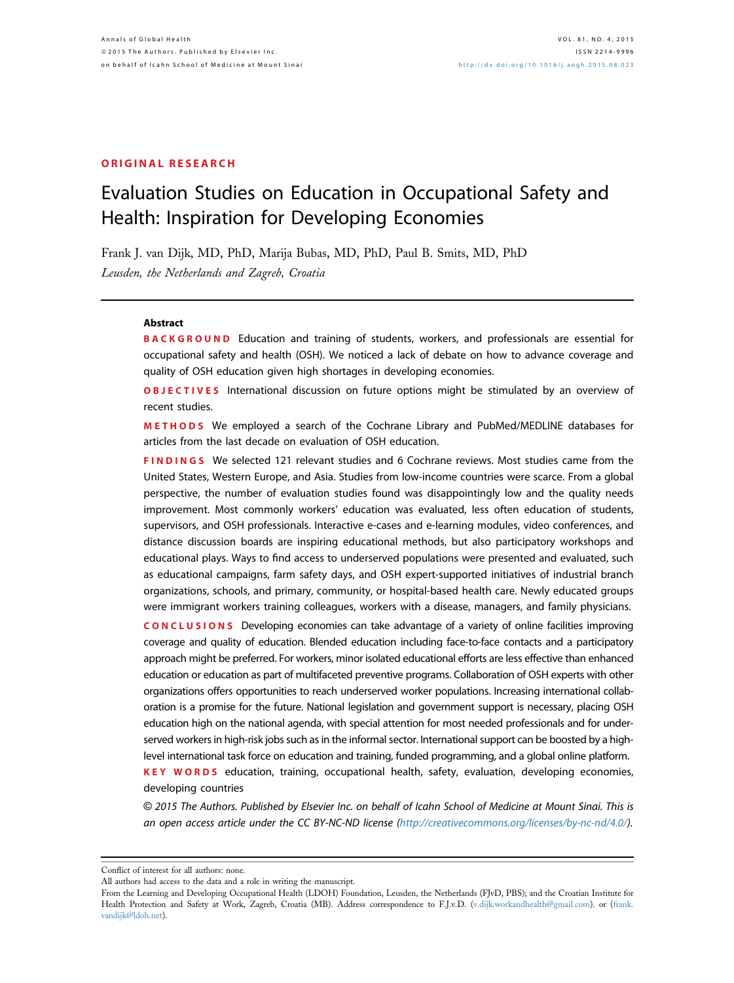### ORIGINAL RESEARCH

# Evaluation Studies on Education in Occupational Safety and Health: Inspiration for Developing Economies

Frank J. van Dijk, MD, PhD, Marija Bubas, MD, PhD, Paul B. Smits, MD, PhD Leusden, the Netherlands and Zagreb, Croatia

#### Abstract

BACKGROUND Education and training of students, workers, and professionals are essential for occupational safety and health (OSH). We noticed a lack of debate on how to advance coverage and quality of OSH education given high shortages in developing economies.

**OBJECTIVES** International discussion on future options might be stimulated by an overview of recent studies.

METHODS We employed a search of the Cochrane Library and PubMed/MEDLINE databases for articles from the last decade on evaluation of OSH education.

FINDINGS We selected 121 relevant studies and 6 Cochrane reviews. Most studies came from the United States, Western Europe, and Asia. Studies from low-income countries were scarce. From a global perspective, the number of evaluation studies found was disappointingly low and the quality needs improvement. Most commonly workers' education was evaluated, less often education of students, supervisors, and OSH professionals. Interactive e-cases and e-learning modules, video conferences, and distance discussion boards are inspiring educational methods, but also participatory workshops and educational plays. Ways to find access to underserved populations were presented and evaluated, such as educational campaigns, farm safety days, and OSH expert-supported initiatives of industrial branch organizations, schools, and primary, community, or hospital-based health care. Newly educated groups were immigrant workers training colleagues, workers with a disease, managers, and family physicians.

CONCLUSIONS Developing economies can take advantage of a variety of online facilities improving coverage and quality of education. Blended education including face-to-face contacts and a participatory approach might be preferred. For workers, minor isolated educational efforts are less effective than enhanced education or education as part of multifaceted preventive programs. Collaboration of OSH experts with other organizations offers opportunities to reach underserved worker populations. Increasing international collaboration is a promise for the future. National legislation and government support is necessary, placing OSH education high on the national agenda, with special attention for most needed professionals and for underserved workers in high-risk jobs such as in the informal sector. International support can be boosted by a highlevel international task force on education and training, funded programming, and a global online platform. KEY WORDS education, training, occupational health, safety, evaluation, developing economies, developing countries

© 2015 The Authors. Published by Elsevier Inc. on behalf of Icahn School of Medicine at Mount Sinai. This is an open access article under the CC BY-NC-ND license ([http://creativecommons.org/licenses/by-nc-nd/4.0/](http://creativecommons.org/licenses/by-nc-nd/4.�0/)).

Conflict of interest for all authors: none.

All authors had access to the data and a role in writing the manuscript.

From the Learning and Developing Occupational Health (LDOH) Foundation, Leusden, the Netherlands (FJvD, PBS); and the Croatian Institute for Health Protection and Safety at Work, Zagreb, Croatia (MB). Address correspondence to F.J.v.D. [\(v.dijk.workandhealth@gmail.com](mailto:v.dijk.workandhealth@gmail.com)). or ([frank.](mailto:frank.vandijk@ldoh.net) [vandijk@ldoh.net](mailto:frank.vandijk@ldoh.net)).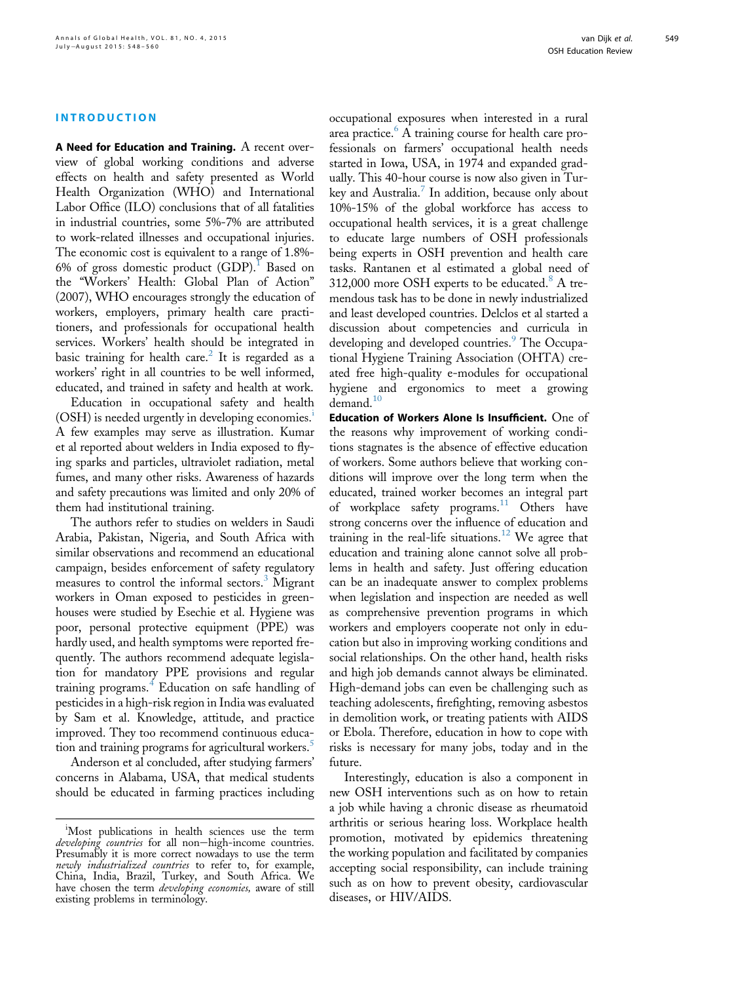#### INTRODUCTION

A Need for Education and Training. A recent overview of global working conditions and adverse effects on health and safety presented as World Health Organization (WHO) and International Labor Office (ILO) conclusions that of all fatalities in industrial countries, some 5%-7% are attributed to work-related illnesses and occupational injuries. The economic cost is equivalent to a range of 1.8%- 6% of gross domestic product  $(GDP)^1$  $(GDP)^1$ . Based on the "Workers' Health: Global Plan of Action" (2007), WHO encourages strongly the education of workers, employers, primary health care practitioners, and professionals for occupational health services. Workers' health should be integrated in basic training for health care.<sup>[2](#page-10-0)</sup> It is regarded as a workers' right in all countries to be well informed, educated, and trained in safety and health at work.

Education in occupational safety and health (OSH) is needed urgently in developing economies.<sup>1</sup> A few examples may serve as illustration. Kumar et al reported about welders in India exposed to flying sparks and particles, ultraviolet radiation, metal fumes, and many other risks. Awareness of hazards and safety precautions was limited and only 20% of them had institutional training.

The authors refer to studies on welders in Saudi Arabia, Pakistan, Nigeria, and South Africa with similar observations and recommend an educational campaign, besides enforcement of safety regulatory measures to control the informal sectors.<sup>[3](#page-10-0)</sup> Migrant workers in Oman exposed to pesticides in greenhouses were studied by Esechie et al. Hygiene was poor, personal protective equipment (PPE) was hardly used, and health symptoms were reported frequently. The authors recommend adequate legislation for mandatory PPE provisions and regular training programs.<sup>[4](#page-10-0)</sup> Education on safe handling of pesticides in a high-risk region in India was evaluated by Sam et al. Knowledge, attitude, and practice improved. They too recommend continuous educa-tion and training programs for agricultural workers.<sup>[5](#page-10-0)</sup>

Anderson et al concluded, after studying farmers' concerns in Alabama, USA, that medical students should be educated in farming practices including occupational exposures when interested in a rural area practice.<sup>[6](#page-10-0)</sup> A training course for health care professionals on farmers' occupational health needs started in Iowa, USA, in 1974 and expanded gradually. This 40-hour course is now also given in Tur-key and Australia.<sup>[7](#page-10-0)</sup> In addition, because only about 10%-15% of the global workforce has access to occupational health services, it is a great challenge to educate large numbers of OSH professionals being experts in OSH prevention and health care tasks. Rantanen et al estimated a global need of 312,000 more OSH experts to be educated. $8$  A tremendous task has to be done in newly industrialized and least developed countries. Delclos et al started a discussion about competencies and curricula in developing and developed countries.<sup>[9](#page-10-0)</sup> The Occupational Hygiene Training Association (OHTA) created free high-quality e-modules for occupational hygiene and ergonomics to meet a growing  $d$ emand. $10$ 

Education of Workers Alone Is Insufficient. One of the reasons why improvement of working conditions stagnates is the absence of effective education of workers. Some authors believe that working conditions will improve over the long term when the educated, trained worker becomes an integral part of workplace safety programs.<sup>[11](#page-11-0)</sup> Others have strong concerns over the influence of education and training in the real-life situations.<sup>[12](#page-11-0)</sup> We agree that education and training alone cannot solve all problems in health and safety. Just offering education can be an inadequate answer to complex problems when legislation and inspection are needed as well as comprehensive prevention programs in which workers and employers cooperate not only in education but also in improving working conditions and social relationships. On the other hand, health risks and high job demands cannot always be eliminated. High-demand jobs can even be challenging such as teaching adolescents, firefighting, removing asbestos in demolition work, or treating patients with AIDS or Ebola. Therefore, education in how to cope with risks is necessary for many jobs, today and in the future.

Interestingly, education is also a component in new OSH interventions such as on how to retain a job while having a chronic disease as rheumatoid arthritis or serious hearing loss. Workplace health promotion, motivated by epidemics threatening the working population and facilitated by companies accepting social responsibility, can include training such as on how to prevent obesity, cardiovascular diseases, or HIV/AIDS.

i Most publications in health sciences use the term  $developing$  countries for all non-high-income countries. Presumably it is more correct nowadays to use the term newly industrialized countries to refer to, for example, China, India, Brazil, Turkey, and South Africa. We have chosen the term developing economies, aware of still existing problems in terminology.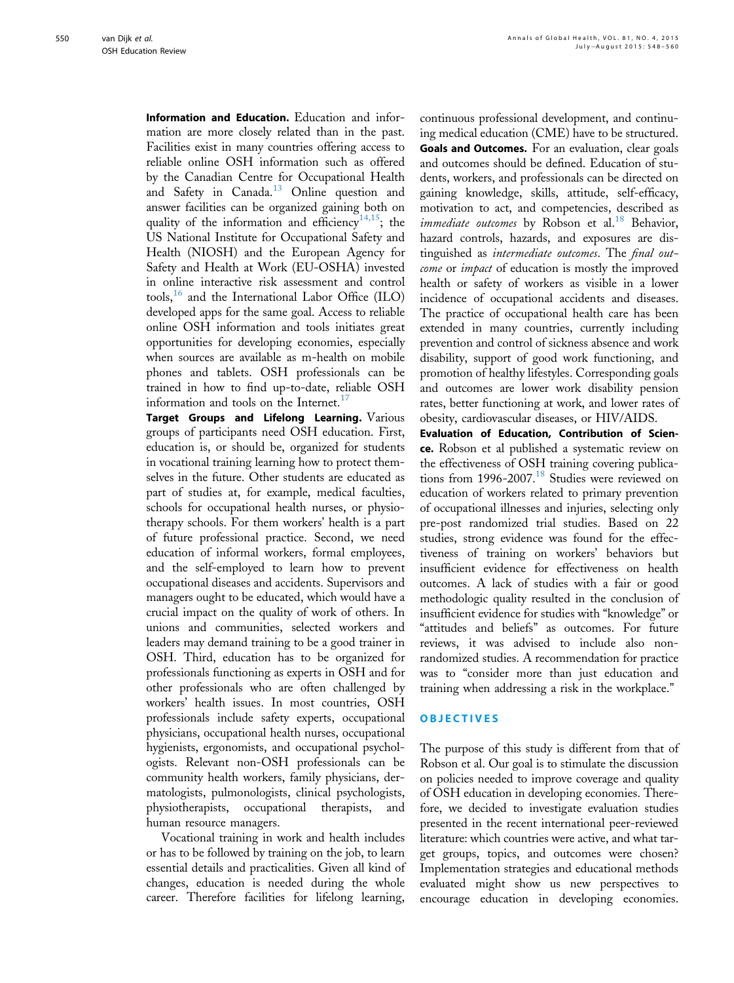Information and Education. Education and information are more closely related than in the past. Facilities exist in many countries offering access to reliable online OSH information such as offered by the Canadian Centre for Occupational Health and Safety in Canada.<sup>[13](#page-11-0)</sup> Online question and answer facilities can be organized gaining both on quality of the information and efficiency<sup>14,15</sup>; the US National Institute for Occupational Safety and Health (NIOSH) and the European Agency for Safety and Health at Work (EU-OSHA) invested in online interactive risk assessment and control tools,  $^{16}$  $^{16}$  $^{16}$  and the International Labor Office (ILO) developed apps for the same goal. Access to reliable online OSH information and tools initiates great opportunities for developing economies, especially when sources are available as m-health on mobile phones and tablets. OSH professionals can be trained in how to find up-to-date, reliable OSH information and tools on the Internet.<sup>[17](#page-11-0)</sup>

Target Groups and Lifelong Learning. Various groups of participants need OSH education. First, education is, or should be, organized for students in vocational training learning how to protect themselves in the future. Other students are educated as part of studies at, for example, medical faculties, schools for occupational health nurses, or physiotherapy schools. For them workers' health is a part of future professional practice. Second, we need education of informal workers, formal employees, and the self-employed to learn how to prevent occupational diseases and accidents. Supervisors and managers ought to be educated, which would have a crucial impact on the quality of work of others. In unions and communities, selected workers and leaders may demand training to be a good trainer in OSH. Third, education has to be organized for professionals functioning as experts in OSH and for other professionals who are often challenged by workers' health issues. In most countries, OSH professionals include safety experts, occupational physicians, occupational health nurses, occupational hygienists, ergonomists, and occupational psychologists. Relevant non-OSH professionals can be community health workers, family physicians, dermatologists, pulmonologists, clinical psychologists, physiotherapists, occupational therapists, and human resource managers.

Vocational training in work and health includes or has to be followed by training on the job, to learn essential details and practicalities. Given all kind of changes, education is needed during the whole career. Therefore facilities for lifelong learning,

continuous professional development, and continuing medical education (CME) have to be structured. Goals and Outcomes. For an evaluation, clear goals and outcomes should be defined. Education of students, workers, and professionals can be directed on gaining knowledge, skills, attitude, self-efficacy, motivation to act, and competencies, described as immediate outcomes by Robson et al.<sup>[18](#page-11-0)</sup> Behavior, hazard controls, hazards, and exposures are distinguished as intermediate outcomes. The final outcome or *impact* of education is mostly the improved health or safety of workers as visible in a lower incidence of occupational accidents and diseases. The practice of occupational health care has been extended in many countries, currently including prevention and control of sickness absence and work disability, support of good work functioning, and promotion of healthy lifestyles. Corresponding goals and outcomes are lower work disability pension rates, better functioning at work, and lower rates of obesity, cardiovascular diseases, or HIV/AIDS.

Evaluation of Education, Contribution of Science. Robson et al published a systematic review on the effectiveness of OSH training covering publica-tions from 1996-2007.<sup>[18](#page-11-0)</sup> Studies were reviewed on education of workers related to primary prevention of occupational illnesses and injuries, selecting only pre-post randomized trial studies. Based on 22 studies, strong evidence was found for the effectiveness of training on workers' behaviors but insufficient evidence for effectiveness on health outcomes. A lack of studies with a fair or good methodologic quality resulted in the conclusion of insufficient evidence for studies with "knowledge" or "attitudes and beliefs" as outcomes. For future reviews, it was advised to include also nonrandomized studies. A recommendation for practice was to "consider more than just education and training when addressing a risk in the workplace."

# **OBJECTIVES**

The purpose of this study is different from that of Robson et al. Our goal is to stimulate the discussion on policies needed to improve coverage and quality of OSH education in developing economies. Therefore, we decided to investigate evaluation studies presented in the recent international peer-reviewed literature: which countries were active, and what target groups, topics, and outcomes were chosen? Implementation strategies and educational methods evaluated might show us new perspectives to encourage education in developing economies.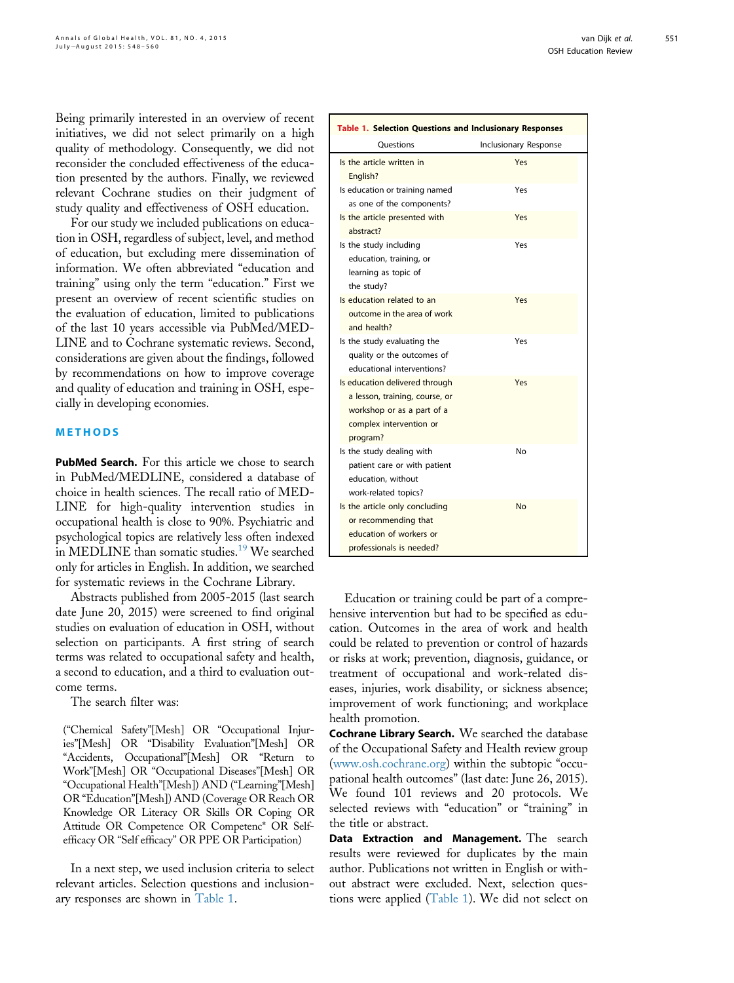Being primarily interested in an overview of recent initiatives, we did not select primarily on a high quality of methodology. Consequently, we did not reconsider the concluded effectiveness of the education presented by the authors. Finally, we reviewed relevant Cochrane studies on their judgment of study quality and effectiveness of OSH education.

For our study we included publications on education in OSH, regardless of subject, level, and method of education, but excluding mere dissemination of information. We often abbreviated "education and training" using only the term "education." First we present an overview of recent scientific studies on the evaluation of education, limited to publications of the last 10 years accessible via PubMed/MED-LINE and to Cochrane systematic reviews. Second, considerations are given about the findings, followed by recommendations on how to improve coverage and quality of education and training in OSH, especially in developing economies.

### METHODS

PubMed Search. For this article we chose to search in PubMed/MEDLINE, considered a database of choice in health sciences. The recall ratio of MED-LINE for high-quality intervention studies in occupational health is close to 90%. Psychiatric and psychological topics are relatively less often indexed in MEDLINE than somatic studies.<sup>[19](#page-11-0)</sup> We searched only for articles in English. In addition, we searched for systematic reviews in the Cochrane Library.

Abstracts published from 2005-2015 (last search date June 20, 2015) were screened to find original studies on evaluation of education in OSH, without selection on participants. A first string of search terms was related to occupational safety and health, a second to education, and a third to evaluation outcome terms.

The search filter was:

("Chemical Safety"[Mesh] OR "Occupational Injuries"[Mesh] OR "Disability Evaluation"[Mesh] OR "Accidents, Occupational"[Mesh] OR "Return to Work"[Mesh] OR "Occupational Diseases"[Mesh] OR "Occupational Health"[Mesh]) AND ("Learning"[Mesh] OR "Education"[Mesh]) AND (Coverage OR Reach OR Knowledge OR Literacy OR Skills OR Coping OR Attitude OR Competence OR Competenc\* OR Selfefficacy OR "Self efficacy" OR PPE OR Participation)

In a next step, we used inclusion criteria to select relevant articles. Selection questions and inclusionary responses are shown in Table 1.

| <b>Table 1. Selection Questions and Inclusionary Responses</b>                                                                        |                       |  |
|---------------------------------------------------------------------------------------------------------------------------------------|-----------------------|--|
| <b>Ouestions</b>                                                                                                                      | Inclusionary Response |  |
| Is the article written in<br>English?                                                                                                 | Yes                   |  |
| Is education or training named<br>as one of the components?                                                                           | Yes                   |  |
| Is the article presented with<br>abstract?                                                                                            | Yes                   |  |
| Is the study including<br>education, training, or<br>learning as topic of<br>the study?                                               | Yes                   |  |
| Is education related to an<br>outcome in the area of work<br>and health?                                                              | Yes                   |  |
| Is the study evaluating the<br>quality or the outcomes of<br>educational interventions?                                               | Yes                   |  |
| Is education delivered through<br>a lesson, training, course, or<br>workshop or as a part of a<br>complex intervention or<br>program? | Yes                   |  |
| Is the study dealing with<br>patient care or with patient<br>education, without<br>work-related topics?                               | Nο                    |  |
| Is the article only concluding<br>or recommending that<br>education of workers or<br>professionals is needed?                         | No                    |  |

Education or training could be part of a comprehensive intervention but had to be specified as education. Outcomes in the area of work and health could be related to prevention or control of hazards or risks at work; prevention, diagnosis, guidance, or treatment of occupational and work-related diseases, injuries, work disability, or sickness absence; improvement of work functioning; and workplace health promotion.

Cochrane Library Search. We searched the database of the Occupational Safety and Health review group ([www.osh.cochrane.org](http://www.osh.cochrane.org)) within the subtopic "occupational health outcomes" (last date: June 26, 2015). We found 101 reviews and 20 protocols. We selected reviews with "education" or "training" in the title or abstract.

Data Extraction and Management. The search results were reviewed for duplicates by the main author. Publications not written in English or without abstract were excluded. Next, selection questions were applied (Table 1). We did not select on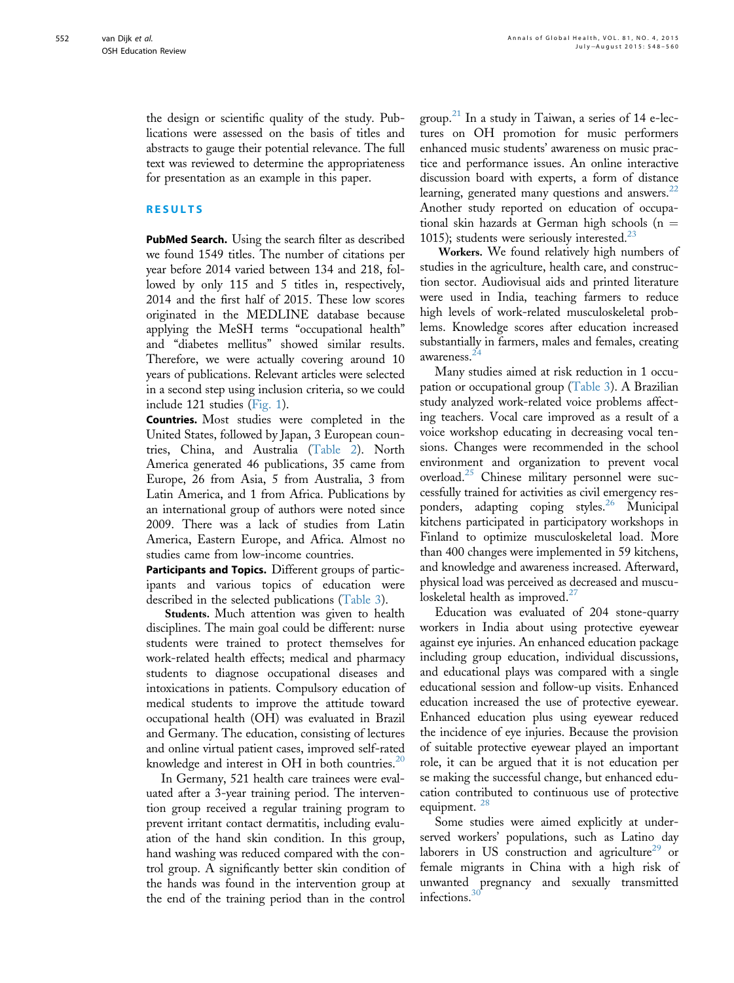the design or scientific quality of the study. Publications were assessed on the basis of titles and abstracts to gauge their potential relevance. The full text was reviewed to determine the appropriateness for presentation as an example in this paper.

# RESULTS

PubMed Search. Using the search filter as described we found 1549 titles. The number of citations per year before 2014 varied between 134 and 218, followed by only 115 and 5 titles in, respectively, 2014 and the first half of 2015. These low scores originated in the MEDLINE database because applying the MeSH terms "occupational health" and "diabetes mellitus" showed similar results. Therefore, we were actually covering around 10 years of publications. Relevant articles were selected in a second step using inclusion criteria, so we could include 121 studies ([Fig. 1\)](#page-5-0).

**Countries.** Most studies were completed in the United States, followed by Japan, 3 European countries, China, and Australia ([Table 2\)](#page-6-0). North America generated 46 publications, 35 came from Europe, 26 from Asia, 5 from Australia, 3 from Latin America, and 1 from Africa. Publications by an international group of authors were noted since 2009. There was a lack of studies from Latin America, Eastern Europe, and Africa. Almost no studies came from low-income countries.

Participants and Topics. Different groups of participants and various topics of education were described in the selected publications ([Table 3\)](#page-7-0).

Students. Much attention was given to health disciplines. The main goal could be different: nurse students were trained to protect themselves for work-related health effects; medical and pharmacy students to diagnose occupational diseases and intoxications in patients. Compulsory education of medical students to improve the attitude toward occupational health (OH) was evaluated in Brazil and Germany. The education, consisting of lectures and online virtual patient cases, improved self-rated knowledge and interest in OH in both countries. $^{20}$  $^{20}$  $^{20}$ 

In Germany, 521 health care trainees were evaluated after a 3-year training period. The intervention group received a regular training program to prevent irritant contact dermatitis, including evaluation of the hand skin condition. In this group, hand washing was reduced compared with the control group. A significantly better skin condition of the hands was found in the intervention group at the end of the training period than in the control group.[21](#page-11-0) In a study in Taiwan, a series of 14 e-lectures on OH promotion for music performers enhanced music students' awareness on music practice and performance issues. An online interactive discussion board with experts, a form of distance learning, generated many questions and answers. $^{22}$  $^{22}$  $^{22}$ Another study reported on education of occupational skin hazards at German high schools ( $n =$ 1015); students were seriously interested. $^{23}$ 

Workers. We found relatively high numbers of studies in the agriculture, health care, and construction sector. Audiovisual aids and printed literature were used in India, teaching farmers to reduce high levels of work-related musculoskeletal problems. Knowledge scores after education increased substantially in farmers, males and females, creating awareness.<sup>[24](#page-11-0)</sup>

Many studies aimed at risk reduction in 1 occupation or occupational group ([Table 3\)](#page-7-0). A Brazilian study analyzed work-related voice problems affecting teachers. Vocal care improved as a result of a voice workshop educating in decreasing vocal tensions. Changes were recommended in the school environment and organization to prevent vocal overload.<sup>[25](#page-11-0)</sup> Chinese military personnel were successfully trained for activities as civil emergency res-ponders, adapting coping styles.<sup>[26](#page-11-0)</sup> Municipal kitchens participated in participatory workshops in Finland to optimize musculoskeletal load. More than 400 changes were implemented in 59 kitchens, and knowledge and awareness increased. Afterward, physical load was perceived as decreased and muscu-loskeletal health as improved.<sup>[27](#page-11-0)</sup>

Education was evaluated of 204 stone-quarry workers in India about using protective eyewear against eye injuries. An enhanced education package including group education, individual discussions, and educational plays was compared with a single educational session and follow-up visits. Enhanced education increased the use of protective eyewear. Enhanced education plus using eyewear reduced the incidence of eye injuries. Because the provision of suitable protective eyewear played an important role, it can be argued that it is not education per se making the successful change, but enhanced education contributed to continuous use of protective equipment.<sup>[28](#page-11-0)</sup>

Some studies were aimed explicitly at underserved workers' populations, such as Latino day laborers in US construction and agriculture<sup>[29](#page-11-0)</sup> or female migrants in China with a high risk of unwanted pregnancy and sexually transmitted infections.<sup>[30](#page-11-0)</sup>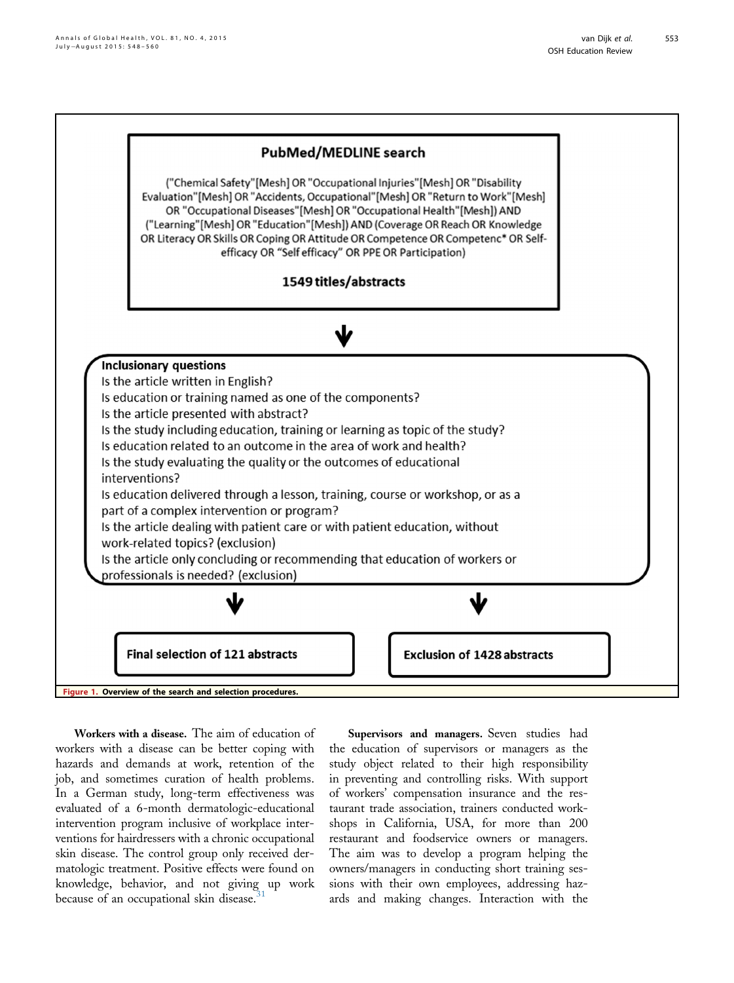<span id="page-5-0"></span>

Workers with a disease. The aim of education of workers with a disease can be better coping with hazards and demands at work, retention of the job, and sometimes curation of health problems. In a German study, long-term effectiveness was evaluated of a 6-month dermatologic-educational intervention program inclusive of workplace interventions for hairdressers with a chronic occupational skin disease. The control group only received dermatologic treatment. Positive effects were found on knowledge, behavior, and not giving up work because of an occupational skin disease.<sup>3</sup>

Supervisors and managers. Seven studies had the education of supervisors or managers as the study object related to their high responsibility in preventing and controlling risks. With support of workers' compensation insurance and the restaurant trade association, trainers conducted workshops in California, USA, for more than 200 restaurant and foodservice owners or managers. The aim was to develop a program helping the owners/managers in conducting short training sessions with their own employees, addressing hazards and making changes. Interaction with the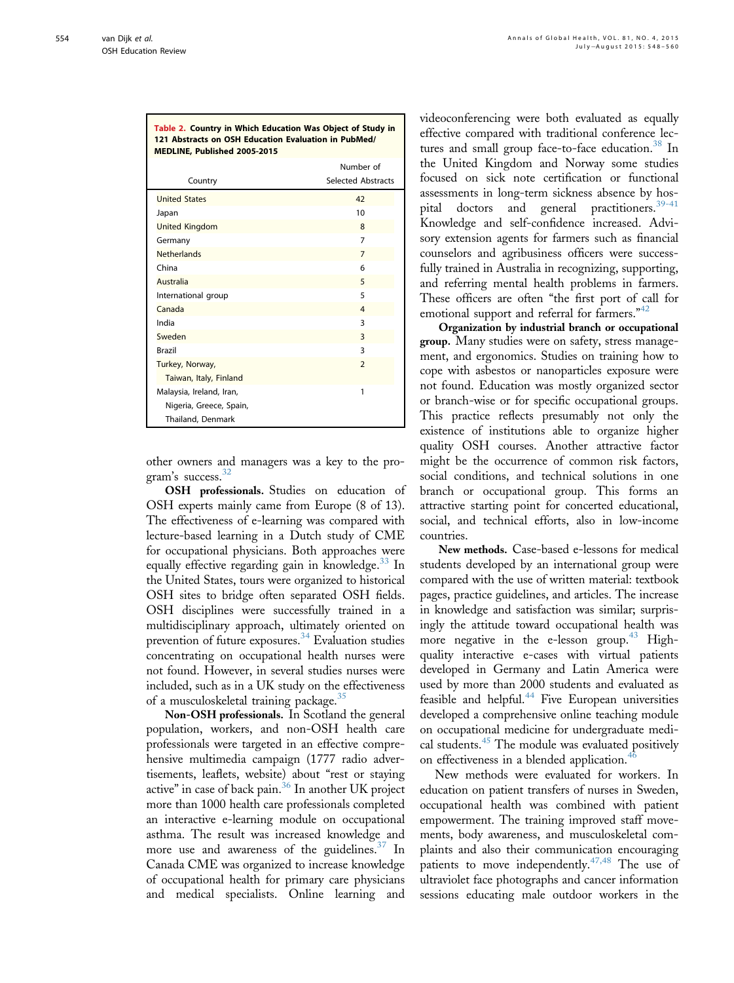<span id="page-6-0"></span>

| rable 2. Country in Willen Education was Object of Study in<br>121 Abstracts on OSH Education Evaluation in PubMed/<br>MEDLINE, Published 2005-2015 |                                 |  |
|-----------------------------------------------------------------------------------------------------------------------------------------------------|---------------------------------|--|
| Country                                                                                                                                             | Number of<br>Selected Abstracts |  |
| <b>United States</b>                                                                                                                                | 42                              |  |
| Japan                                                                                                                                               | 10                              |  |
| <b>United Kingdom</b>                                                                                                                               | 8                               |  |
| Germany                                                                                                                                             | 7                               |  |
| <b>Netherlands</b>                                                                                                                                  | 7                               |  |
| China                                                                                                                                               | 6                               |  |
| Australia                                                                                                                                           | 5                               |  |
| International group                                                                                                                                 | 5                               |  |
| Canada                                                                                                                                              | $\overline{4}$                  |  |
| India                                                                                                                                               | 3                               |  |
| Sweden                                                                                                                                              | 3                               |  |
| Brazil                                                                                                                                              | 3                               |  |
| Turkey, Norway,                                                                                                                                     | $\overline{2}$                  |  |
| Taiwan, Italy, Finland                                                                                                                              |                                 |  |
| Malaysia, Ireland, Iran,                                                                                                                            | 1                               |  |
| Nigeria, Greece, Spain,                                                                                                                             |                                 |  |
| Thailand, Denmark                                                                                                                                   |                                 |  |

me in Which Education

other owners and managers was a key to the program's success.  $32$ 

OSH professionals. Studies on education of OSH experts mainly came from Europe (8 of 13). The effectiveness of e-learning was compared with lecture-based learning in a Dutch study of CME for occupational physicians. Both approaches were equally effective regarding gain in knowledge.<sup>[33](#page-11-0)</sup> In the United States, tours were organized to historical OSH sites to bridge often separated OSH fields. OSH disciplines were successfully trained in a multidisciplinary approach, ultimately oriented on prevention of future exposures.<sup>[34](#page-11-0)</sup> Evaluation studies concentrating on occupational health nurses were not found. However, in several studies nurses were included, such as in a UK study on the effectiveness of a musculoskeletal training package.<sup>[35](#page-11-0)</sup>

Non-OSH professionals. In Scotland the general population, workers, and non-OSH health care professionals were targeted in an effective comprehensive multimedia campaign (1777 radio advertisements, leaflets, website) about "rest or staying active" in case of back pain.<sup>[36](#page-11-0)</sup> In another UK project more than 1000 health care professionals completed an interactive e-learning module on occupational asthma. The result was increased knowledge and more use and awareness of the guidelines.<sup>[37](#page-11-0)</sup> In Canada CME was organized to increase knowledge of occupational health for primary care physicians and medical specialists. Online learning and videoconferencing were both evaluated as equally effective compared with traditional conference lectures and small group face-to-face education.<sup>38</sup> In the United Kingdom and Norway some studies focused on sick note certification or functional assessments in long-term sickness absence by hos-pital doctors and general practitioners.<sup>[39-41](#page-11-0)</sup> Knowledge and self-confidence increased. Advisory extension agents for farmers such as financial counselors and agribusiness officers were successfully trained in Australia in recognizing, supporting, and referring mental health problems in farmers. These officers are often "the first port of call for emotional support and referral for farmers."<sup>[42](#page-11-0)</sup>

Organization by industrial branch or occupational group. Many studies were on safety, stress management, and ergonomics. Studies on training how to cope with asbestos or nanoparticles exposure were not found. Education was mostly organized sector or branch-wise or for specific occupational groups. This practice reflects presumably not only the existence of institutions able to organize higher quality OSH courses. Another attractive factor might be the occurrence of common risk factors, social conditions, and technical solutions in one branch or occupational group. This forms an attractive starting point for concerted educational, social, and technical efforts, also in low-income countries.

New methods. Case-based e-lessons for medical students developed by an international group were compared with the use of written material: textbook pages, practice guidelines, and articles. The increase in knowledge and satisfaction was similar; surprisingly the attitude toward occupational health was more negative in the e-lesson group.<sup>[43](#page-11-0)</sup> Highquality interactive e-cases with virtual patients developed in Germany and Latin America were used by more than 2000 students and evaluated as feasible and helpful.<sup>[44](#page-11-0)</sup> Five European universities developed a comprehensive online teaching module on occupational medicine for undergraduate medi-cal students.<sup>[45](#page-11-0)</sup> The module was evaluated positively on effectiveness in a blended application.<sup>4</sup>

New methods were evaluated for workers. In education on patient transfers of nurses in Sweden, occupational health was combined with patient empowerment. The training improved staff movements, body awareness, and musculoskeletal complaints and also their communication encouraging patients to move independently.<sup>[47,48](#page-11-0)</sup> The use of ultraviolet face photographs and cancer information sessions educating male outdoor workers in the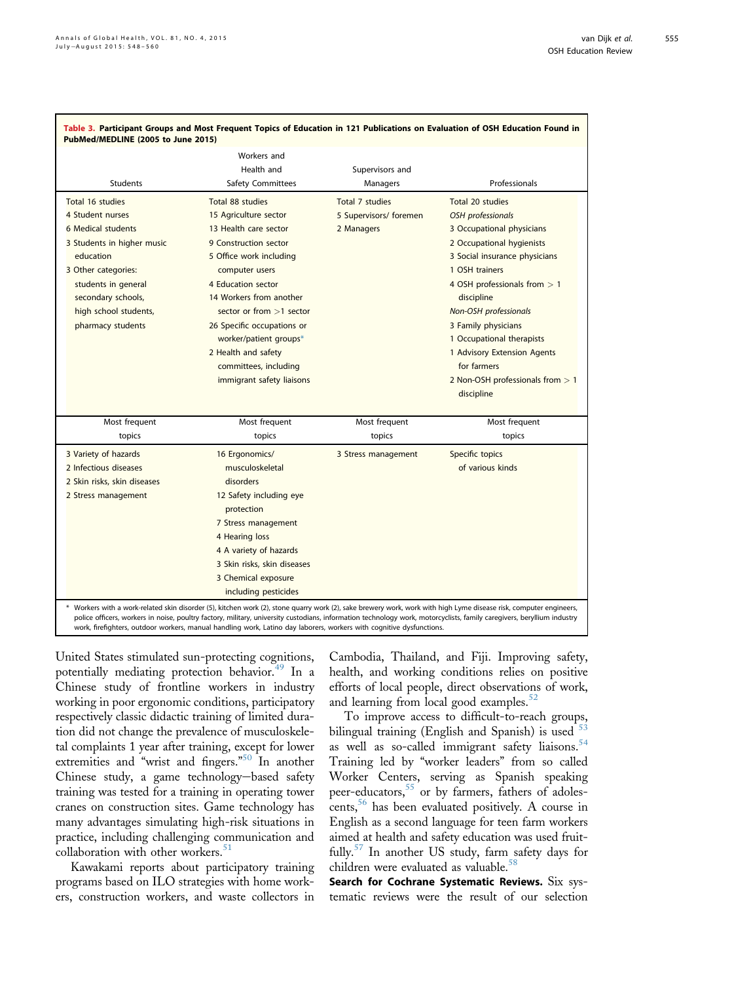| Workers and                 |                        |                                    |
|-----------------------------|------------------------|------------------------------------|
| Health and                  | Supervisors and        |                                    |
| <b>Safety Committees</b>    | Managers               | Professionals                      |
| Total 88 studies            | Total 7 studies        | Total 20 studies                   |
| 15 Agriculture sector       | 5 Supervisors/ foremen | <b>OSH</b> professionals           |
| 13 Health care sector       | 2 Managers             | 3 Occupational physicians          |
| 9 Construction sector       |                        | 2 Occupational hygienists          |
| 5 Office work including     |                        | 3 Social insurance physicians      |
| computer users              |                        | 1 OSH trainers                     |
| 4 Education sector          |                        | 4 OSH professionals from $> 1$     |
| 14 Workers from another     |                        | discipline                         |
| sector or from $>1$ sector  |                        | Non-OSH professionals              |
| 26 Specific occupations or  |                        | 3 Family physicians                |
| worker/patient groups*      |                        | 1 Occupational therapists          |
| 2 Health and safety         |                        | 1 Advisory Extension Agents        |
| committees, including       |                        | for farmers                        |
| immigrant safety liaisons   |                        | 2 Non-OSH professionals from $> 1$ |
|                             |                        | discipline                         |
|                             |                        |                                    |
| Most frequent               | Most frequent          | Most frequent                      |
| topics                      | topics                 | topics                             |
| 16 Ergonomics/              | 3 Stress management    | Specific topics                    |
| musculoskeletal             |                        | of various kinds                   |
| disorders                   |                        |                                    |
| 12 Safety including eye     |                        |                                    |
| protection                  |                        |                                    |
| 7 Stress management         |                        |                                    |
|                             |                        |                                    |
| 4 Hearing loss              |                        |                                    |
| 4 A variety of hazards      |                        |                                    |
| 3 Skin risks, skin diseases |                        |                                    |
| 3 Chemical exposure         |                        |                                    |
|                             |                        |                                    |

<span id="page-7-0"></span>Table 3. Participant Groups and Most Frequent Topics of Education in 121 Publications on Evaluation of OSH Education Found in PubMed/MEDLINE (2005 to June 2015)

United States stimulated sun-protecting cognitions, potentially mediating protection behavior.<sup>[49](#page-12-0)</sup> In a Chinese study of frontline workers in industry working in poor ergonomic conditions, participatory respectively classic didactic training of limited duration did not change the prevalence of musculoskeletal complaints 1 year after training, except for lower extremities and "wrist and fingers."<sup>[50](#page-12-0)</sup> In another Chinese study, a game technology-based safety training was tested for a training in operating tower cranes on construction sites. Game technology has many advantages simulating high-risk situations in practice, including challenging communication and collaboration with other workers.<sup>[51](#page-12-0)</sup>

Kawakami reports about participatory training programs based on ILO strategies with home workers, construction workers, and waste collectors in Cambodia, Thailand, and Fiji. Improving safety, health, and working conditions relies on positive efforts of local people, direct observations of work, and learning from local good examples.<sup>[52](#page-12-0)</sup>

To improve access to difficult-to-reach groups, bilingual training (English and Spanish) is used  $53$ as well as so-called immigrant safety liaisons.<sup>[54](#page-12-0)</sup> Training led by "worker leaders" from so called Worker Centers, serving as Spanish speaking peer-educators,  $55/1$  $55/1$  or by farmers, fathers of adoles-cents,<sup>[56](#page-12-0)</sup> has been evaluated positively. A course in English as a second language for teen farm workers aimed at health and safety education was used fruitfully.[57](#page-12-0) In another US study, farm safety days for children were evaluated as valuable.<sup>[58](#page-12-0)</sup>

Search for Cochrane Systematic Reviews. Six systematic reviews were the result of our selection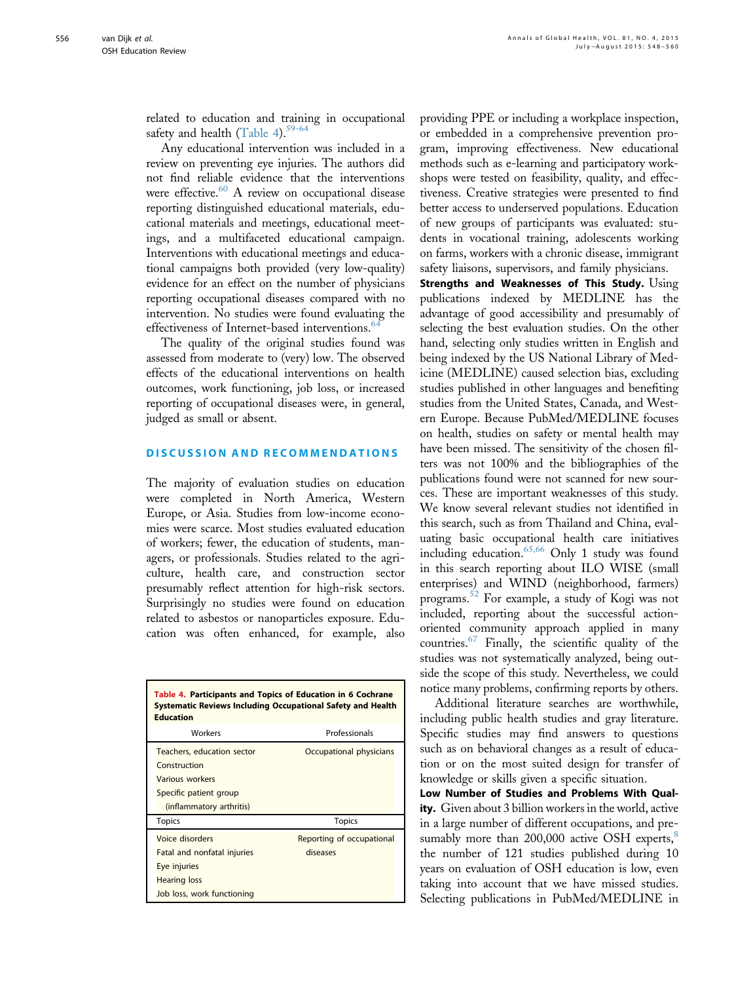related to education and training in occupational safety and health (Table 4).<sup>[59-64](#page-12-0)</sup>

Any educational intervention was included in a review on preventing eye injuries. The authors did not find reliable evidence that the interventions were effective. $60$  A review on occupational disease reporting distinguished educational materials, educational materials and meetings, educational meetings, and a multifaceted educational campaign. Interventions with educational meetings and educational campaigns both provided (very low-quality) evidence for an effect on the number of physicians reporting occupational diseases compared with no intervention. No studies were found evaluating the effectiveness of Internet-based interventions.<sup>6</sup>

The quality of the original studies found was assessed from moderate to (very) low. The observed effects of the educational interventions on health outcomes, work functioning, job loss, or increased reporting of occupational diseases were, in general, judged as small or absent.

# DISCUSSION AND RECOMMENDATIONS

The majority of evaluation studies on education were completed in North America, Western Europe, or Asia. Studies from low-income economies were scarce. Most studies evaluated education of workers; fewer, the education of students, managers, or professionals. Studies related to the agriculture, health care, and construction sector presumably reflect attention for high-risk sectors. Surprisingly no studies were found on education related to asbestos or nanoparticles exposure. Education was often enhanced, for example, also

| Table 4. Participants and Topics of Education in 6 Cochrane<br>Systematic Reviews Including Occupational Safety and Health<br><b>Education</b> |                                       |  |  |
|------------------------------------------------------------------------------------------------------------------------------------------------|---------------------------------------|--|--|
| Workers                                                                                                                                        | Professionals                         |  |  |
| Teachers, education sector<br>Construction<br>Various workers<br>Specific patient group<br>(inflammatory arthritis)                            | Occupational physicians               |  |  |
| <b>Topics</b>                                                                                                                                  | <b>Topics</b>                         |  |  |
| Voice disorders<br>Fatal and nonfatal injuries<br>Eye injuries<br><b>Hearing loss</b><br>Job loss, work functioning                            | Reporting of occupational<br>diseases |  |  |

providing PPE or including a workplace inspection, or embedded in a comprehensive prevention program, improving effectiveness. New educational methods such as e-learning and participatory workshops were tested on feasibility, quality, and effectiveness. Creative strategies were presented to find better access to underserved populations. Education of new groups of participants was evaluated: students in vocational training, adolescents working on farms, workers with a chronic disease, immigrant safety liaisons, supervisors, and family physicians.

Strengths and Weaknesses of This Study. Using publications indexed by MEDLINE has the advantage of good accessibility and presumably of selecting the best evaluation studies. On the other hand, selecting only studies written in English and being indexed by the US National Library of Medicine (MEDLINE) caused selection bias, excluding studies published in other languages and benefiting studies from the United States, Canada, and Western Europe. Because PubMed/MEDLINE focuses on health, studies on safety or mental health may have been missed. The sensitivity of the chosen filters was not 100% and the bibliographies of the publications found were not scanned for new sources. These are important weaknesses of this study. We know several relevant studies not identified in this search, such as from Thailand and China, evaluating basic occupational health care initiatives including education.<sup>[65,66](#page-12-0)</sup> Only 1 study was found in this search reporting about ILO WISE (small enterprises) and WIND (neighborhood, farmers) programs.[52](#page-12-0) For example, a study of Kogi was not included, reporting about the successful actionoriented community approach applied in many countries. $67$  Finally, the scientific quality of the studies was not systematically analyzed, being outside the scope of this study. Nevertheless, we could notice many problems, confirming reports by others.

Additional literature searches are worthwhile, including public health studies and gray literature. Specific studies may find answers to questions such as on behavioral changes as a result of education or on the most suited design for transfer of knowledge or skills given a specific situation.

Low Number of Studies and Problems With Quality. Given about 3 billion workers in the world, active in a large number of different occupations, and presumably more than 200,000 active OSH experts, $\delta$ the number of 121 studies published during 10 years on evaluation of OSH education is low, even taking into account that we have missed studies. Selecting publications in PubMed/MEDLINE in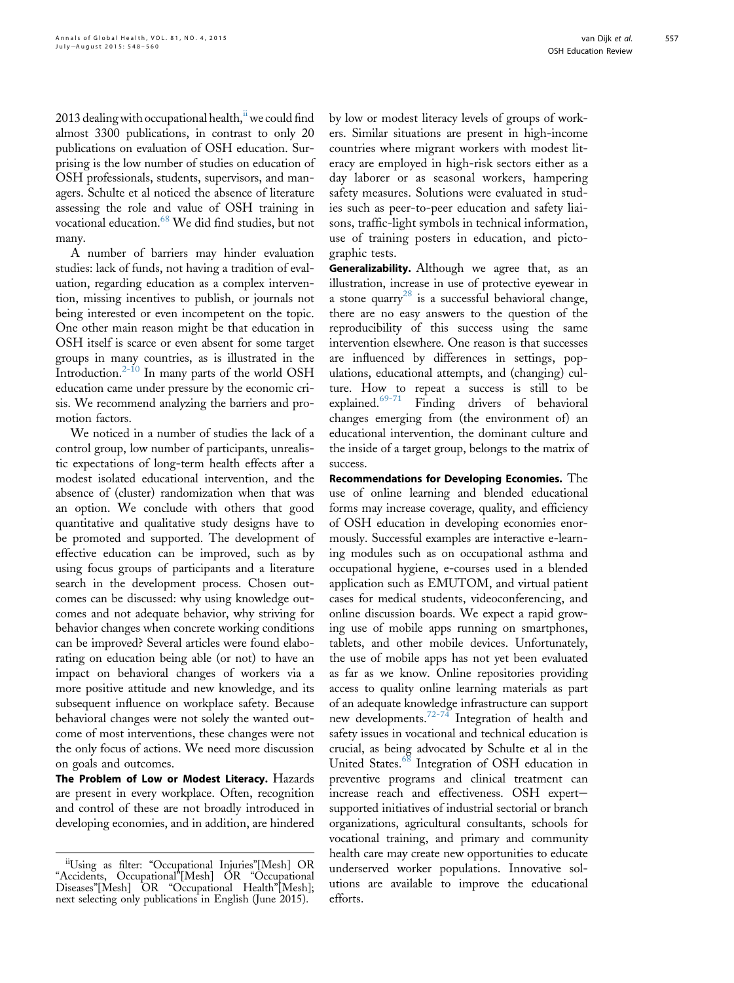2013 dealing with occupational health, ii we could find almost 3300 publications, in contrast to only 20 publications on evaluation of OSH education. Surprising is the low number of studies on education of OSH professionals, students, supervisors, and managers. Schulte et al noticed the absence of literature assessing the role and value of OSH training in vocational education.<sup>[68](#page-12-0)</sup> We did find studies, but not many.

A number of barriers may hinder evaluation studies: lack of funds, not having a tradition of evaluation, regarding education as a complex intervention, missing incentives to publish, or journals not being interested or even incompetent on the topic. One other main reason might be that education in OSH itself is scarce or even absent for some target groups in many countries, as is illustrated in the Introduction.<sup>[2-10](#page-10-0)</sup> In many parts of the world OSH education came under pressure by the economic crisis. We recommend analyzing the barriers and promotion factors.

We noticed in a number of studies the lack of a control group, low number of participants, unrealistic expectations of long-term health effects after a modest isolated educational intervention, and the absence of (cluster) randomization when that was an option. We conclude with others that good quantitative and qualitative study designs have to be promoted and supported. The development of effective education can be improved, such as by using focus groups of participants and a literature search in the development process. Chosen outcomes can be discussed: why using knowledge outcomes and not adequate behavior, why striving for behavior changes when concrete working conditions can be improved? Several articles were found elaborating on education being able (or not) to have an impact on behavioral changes of workers via a more positive attitude and new knowledge, and its subsequent influence on workplace safety. Because behavioral changes were not solely the wanted outcome of most interventions, these changes were not the only focus of actions. We need more discussion on goals and outcomes.

The Problem of Low or Modest Literacy. Hazards are present in every workplace. Often, recognition and control of these are not broadly introduced in developing economies, and in addition, are hindered

by low or modest literacy levels of groups of workers. Similar situations are present in high-income countries where migrant workers with modest literacy are employed in high-risk sectors either as a day laborer or as seasonal workers, hampering safety measures. Solutions were evaluated in studies such as peer-to-peer education and safety liaisons, traffic-light symbols in technical information, use of training posters in education, and pictographic tests.

Generalizability. Although we agree that, as an illustration, increase in use of protective eyewear in a stone quarry<sup>[28](#page-11-0)</sup> is a successful behavioral change, there are no easy answers to the question of the reproducibility of this success using the same intervention elsewhere. One reason is that successes are influenced by differences in settings, populations, educational attempts, and (changing) culture. How to repeat a success is still to be explained.[69-71](#page-12-0) Finding drivers of behavioral changes emerging from (the environment of) an educational intervention, the dominant culture and the inside of a target group, belongs to the matrix of success.

Recommendations for Developing Economies. The use of online learning and blended educational forms may increase coverage, quality, and efficiency of OSH education in developing economies enormously. Successful examples are interactive e-learning modules such as on occupational asthma and occupational hygiene, e-courses used in a blended application such as EMUTOM, and virtual patient cases for medical students, videoconferencing, and online discussion boards. We expect a rapid growing use of mobile apps running on smartphones, tablets, and other mobile devices. Unfortunately, the use of mobile apps has not yet been evaluated as far as we know. Online repositories providing access to quality online learning materials as part of an adequate knowledge infrastructure can support new developments.<sup>[72-74](#page-12-0)</sup> Integration of health and safety issues in vocational and technical education is crucial, as being advocated by Schulte et al in the United States.<sup>[68](#page-12-0)</sup> Integration of OSH education in preventive programs and clinical treatment can increase reach and effectiveness. OSH expertsupported initiatives of industrial sectorial or branch organizations, agricultural consultants, schools for vocational training, and primary and community health care may create new opportunities to educate underserved worker populations. Innovative solutions are available to improve the educational efforts.

iiUsing as filter: "Occupational Injuries"[Mesh] OR "Accidents, Occupational"[Mesh] OR "Occupational Diseases"[Mesh] OR "Occupational Health"[Mesh]; next selecting only publications in English (June 2015).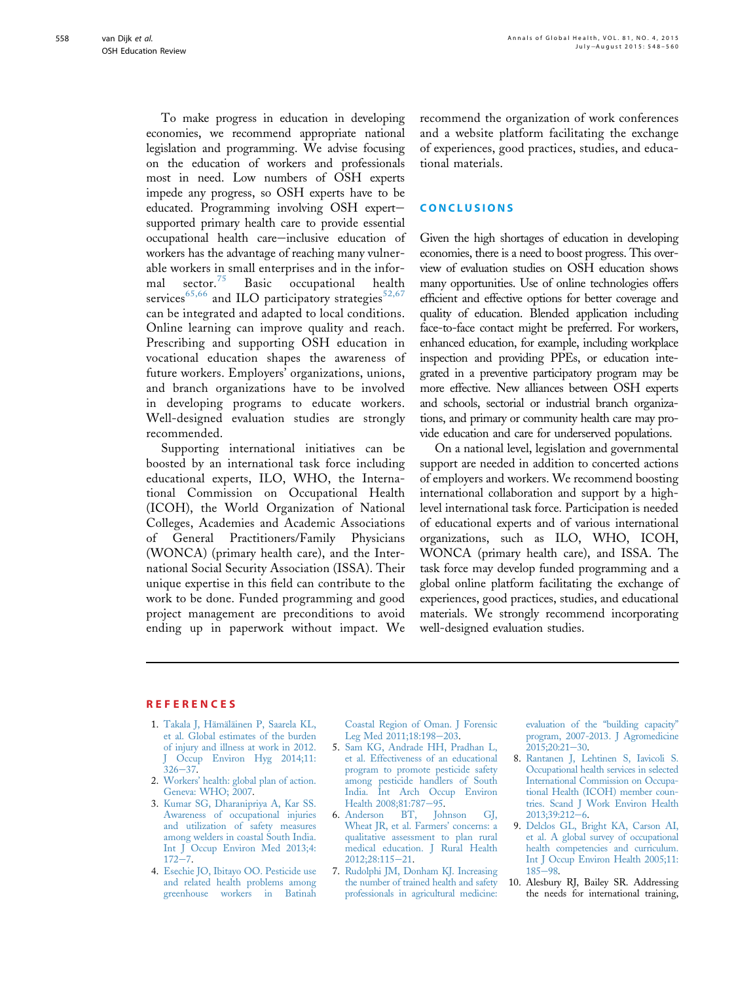<span id="page-10-0"></span>To make progress in education in developing economies, we recommend appropriate national legislation and programming. We advise focusing on the education of workers and professionals most in need. Low numbers of OSH experts impede any progress, so OSH experts have to be educated. Programming involving OSH expertsupported primary health care to provide essential occupational health care-inclusive education of workers has the advantage of reaching many vulnerable workers in small enterprises and in the infor-mal sector.<sup>[75](#page-12-0)</sup> Basic occupational health services $^{65,66}$  $^{65,66}$  $^{65,66}$  and ILO participatory strategies $^{52,67}$  $^{52,67}$  $^{52,67}$ can be integrated and adapted to local conditions. Online learning can improve quality and reach. Prescribing and supporting OSH education in vocational education shapes the awareness of future workers. Employers' organizations, unions, and branch organizations have to be involved in developing programs to educate workers. Well-designed evaluation studies are strongly recommended.

Supporting international initiatives can be boosted by an international task force including educational experts, ILO, WHO, the International Commission on Occupational Health (ICOH), the World Organization of National Colleges, Academies and Academic Associations of General Practitioners/Family Physicians (WONCA) (primary health care), and the International Social Security Association (ISSA). Their unique expertise in this field can contribute to the work to be done. Funded programming and good project management are preconditions to avoid ending up in paperwork without impact. We recommend the organization of work conferences and a website platform facilitating the exchange of experiences, good practices, studies, and educational materials.

## **CONCLUSIONS**

Given the high shortages of education in developing economies, there is a need to boost progress. This overview of evaluation studies on OSH education shows many opportunities. Use of online technologies offers efficient and effective options for better coverage and quality of education. Blended application including face-to-face contact might be preferred. For workers, enhanced education, for example, including workplace inspection and providing PPEs, or education integrated in a preventive participatory program may be more effective. New alliances between OSH experts and schools, sectorial or industrial branch organizations, and primary or community health care may provide education and care for underserved populations.

On a national level, legislation and governmental support are needed in addition to concerted actions of employers and workers. We recommend boosting international collaboration and support by a highlevel international task force. Participation is needed of educational experts and of various international organizations, such as ILO, WHO, ICOH, WONCA (primary health care), and ISSA. The task force may develop funded programming and a global online platform facilitating the exchange of experiences, good practices, studies, and educational materials. We strongly recommend incorporating well-designed evaluation studies.

## **REFERENCES**

- 1. [Takala J, Hämäläinen P, Saarela KL,](http://refhub.elsevier.com/S2214-9996(15)01239-4/sref1) [et al. Global estimates of the burden](http://refhub.elsevier.com/S2214-9996(15)01239-4/sref1) [of injury and illness at work in 2012.](http://refhub.elsevier.com/S2214-9996(15)01239-4/sref1) [J Occup Environ Hyg 2014;11:](http://refhub.elsevier.com/S2214-9996(15)01239-4/sref1)  $326 - 37.$  $326 - 37.$  $326 - 37.$  $326 - 37.$
- 2. Workers' [health: global plan of action.](http://refhub.elsevier.com/S2214-9996(15)01239-4/sref2) [Geneva: WHO; 2007](http://refhub.elsevier.com/S2214-9996(15)01239-4/sref2).
- 3. [Kumar SG, Dharanipriya A, Kar SS.](http://refhub.elsevier.com/S2214-9996(15)01239-4/sref3) [Awareness of occupational injuries](http://refhub.elsevier.com/S2214-9996(15)01239-4/sref3) [and utilization of safety measures](http://refhub.elsevier.com/S2214-9996(15)01239-4/sref3) [among welders in coastal South India.](http://refhub.elsevier.com/S2214-9996(15)01239-4/sref3) [Int J Occup Environ Med 2013;4:](http://refhub.elsevier.com/S2214-9996(15)01239-4/sref3)  $172 - 7.$  $172 - 7.$  $172 - 7.$  $172 - 7.$
- 4. [Esechie JO, Ibitayo OO. Pesticide use](http://refhub.elsevier.com/S2214-9996(15)01239-4/sref4) [and related health problems among](http://refhub.elsevier.com/S2214-9996(15)01239-4/sref4) [greenhouse workers in Batinah](http://refhub.elsevier.com/S2214-9996(15)01239-4/sref4)

[Coastal Region of Oman. J Forensic](http://refhub.elsevier.com/S2214-9996(15)01239-4/sref4) [Leg Med 2011;18:198](http://refhub.elsevier.com/S2214-9996(15)01239-4/sref4)-[203](http://refhub.elsevier.com/S2214-9996(15)01239-4/sref4).

- 5. [Sam KG, Andrade HH, Pradhan L,](http://refhub.elsevier.com/S2214-9996(15)01239-4/sref5) [et al. Effectiveness of an educational](http://refhub.elsevier.com/S2214-9996(15)01239-4/sref5) [program to promote pesticide safety](http://refhub.elsevier.com/S2214-9996(15)01239-4/sref5) [among pesticide handlers of South](http://refhub.elsevier.com/S2214-9996(15)01239-4/sref5) [India. Int Arch Occup Environ](http://refhub.elsevier.com/S2214-9996(15)01239-4/sref5) [Health 2008;81:787](http://refhub.elsevier.com/S2214-9996(15)01239-4/sref5)-[95](http://refhub.elsevier.com/S2214-9996(15)01239-4/sref5).
- 6. [Anderson BT, Johnson GJ,](http://refhub.elsevier.com/S2214-9996(15)01239-4/sref6) [Wheat JR, et al. Farmers](http://refhub.elsevier.com/S2214-9996(15)01239-4/sref6)' concerns: a [qualitative assessment to plan rural](http://refhub.elsevier.com/S2214-9996(15)01239-4/sref6) [medical education. J Rural Health](http://refhub.elsevier.com/S2214-9996(15)01239-4/sref6) [2012;28:115](http://refhub.elsevier.com/S2214-9996(15)01239-4/sref6)-[21.](http://refhub.elsevier.com/S2214-9996(15)01239-4/sref6)
- 7. [Rudolphi JM, Donham KJ. Increasing](http://refhub.elsevier.com/S2214-9996(15)01239-4/sref7) [the number of trained health and safety](http://refhub.elsevier.com/S2214-9996(15)01239-4/sref7) [professionals in agricultural medicine:](http://refhub.elsevier.com/S2214-9996(15)01239-4/sref7)

[evaluation of the](http://refhub.elsevier.com/S2214-9996(15)01239-4/sref7) "building capacity" [program, 2007-2013. J Agromedicine](http://refhub.elsevier.com/S2214-9996(15)01239-4/sref7)  $2015;20:21-30.$  $2015;20:21-30.$  $2015;20:21-30.$ 

- 8. [Rantanen J, Lehtinen S, Iavicoli S.](http://refhub.elsevier.com/S2214-9996(15)01239-4/sref8) [Occupational health services in selected](http://refhub.elsevier.com/S2214-9996(15)01239-4/sref8) [International Commission on Occupa](http://refhub.elsevier.com/S2214-9996(15)01239-4/sref8)[tional Health \(ICOH\) member coun](http://refhub.elsevier.com/S2214-9996(15)01239-4/sref8)[tries. Scand J Work Environ Health](http://refhub.elsevier.com/S2214-9996(15)01239-4/sref8)  $2013;39:212-6.$  $2013;39:212-6.$  $2013;39:212-6.$
- 9. [Delclos GL, Bright KA, Carson AI,](http://refhub.elsevier.com/S2214-9996(15)01239-4/sref9) [et al. A global survey of occupational](http://refhub.elsevier.com/S2214-9996(15)01239-4/sref9) [health competencies and curriculum.](http://refhub.elsevier.com/S2214-9996(15)01239-4/sref9) [Int J Occup Environ Health 2005;11:](http://refhub.elsevier.com/S2214-9996(15)01239-4/sref9)  $185 - 98.$  $185 - 98.$  $185 - 98.$
- 10. Alesbury RJ, Bailey SR. Addressing the needs for international training,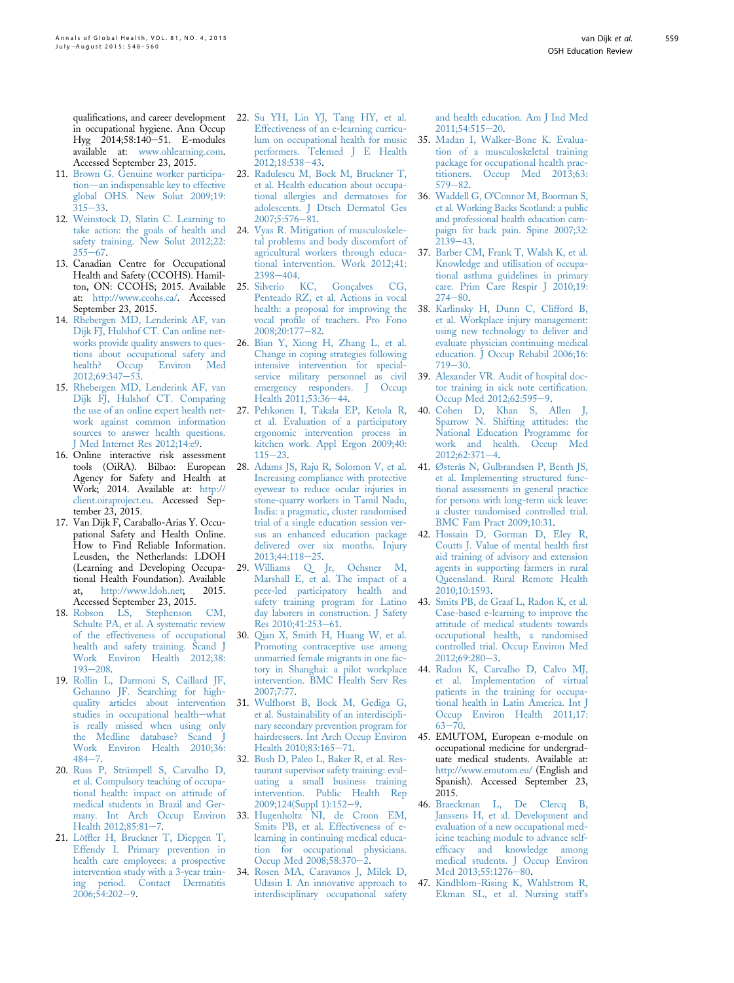<span id="page-11-0"></span>qualifications, and career development in occupational hygiene. Ann Occup Hyg  $2014;58:140-51$ . E-modules available at: [www.ohlearning.com.](http://www.ohlearning.com) Accessed September 23, 2015.

- 11. [Brown G. Genuine worker participa](http://refhub.elsevier.com/S2214-9996(15)01239-4/sref11)[tion](http://refhub.elsevier.com/S2214-9996(15)01239-4/sref11)-[an indispensable key to effective](http://refhub.elsevier.com/S2214-9996(15)01239-4/sref11) [global OHS. New Solut 2009;19:](http://refhub.elsevier.com/S2214-9996(15)01239-4/sref11)  $315 - 33$  $315 - 33$  $315 - 33$ .
- 12. [Weinstock D, Slatin C. Learning to](http://refhub.elsevier.com/S2214-9996(15)01239-4/sref12) [take action: the goals of health and](http://refhub.elsevier.com/S2214-9996(15)01239-4/sref12) [safety training. New Solut 2012;22:](http://refhub.elsevier.com/S2214-9996(15)01239-4/sref12)  $255 - 67$  $255 - 67$  $255 - 67$ .
- 13. Canadian Centre for Occupational Health and Safety (CCOHS). Hamilton, ON: CCOHS; 2015. Available at: <http://www.ccohs.ca/>. Accessed September 23, 2015.
- 14. [Rhebergen MD, Lenderink AF, van](http://refhub.elsevier.com/S2214-9996(15)01239-4/sref14) [Dijk FJ, Hulshof CT. Can online net](http://refhub.elsevier.com/S2214-9996(15)01239-4/sref14)[works provide quality answers to ques](http://refhub.elsevier.com/S2214-9996(15)01239-4/sref14)[tions about occupational safety and](http://refhub.elsevier.com/S2214-9996(15)01239-4/sref14) [health? Occup Environ Med](http://refhub.elsevier.com/S2214-9996(15)01239-4/sref14) health? Occup<br>[2012;69:347](http://refhub.elsevier.com/S2214-9996(15)01239-4/sref14)–[53.](http://refhub.elsevier.com/S2214-9996(15)01239-4/sref14)
- 15. [Rhebergen MD, Lenderink AF, van](http://refhub.elsevier.com/S2214-9996(15)01239-4/sref15) [Dijk FJ, Hulshof CT. Comparing](http://refhub.elsevier.com/S2214-9996(15)01239-4/sref15) [the use of an online expert health net](http://refhub.elsevier.com/S2214-9996(15)01239-4/sref15)[work against common information](http://refhub.elsevier.com/S2214-9996(15)01239-4/sref15) [sources to answer health questions.](http://refhub.elsevier.com/S2214-9996(15)01239-4/sref15) [J Med Internet Res 2012;14:e9.](http://refhub.elsevier.com/S2214-9996(15)01239-4/sref15)
- 16. Online interactive risk assessment tools (OiRA). Bilbao: European Agency for Safety and Health at Work; 2014. Available at: [http://](http://client.oiraproject.eu) [client.oiraproject.eu](http://client.oiraproject.eu). Accessed September 23, 2015.
- 17. Van Dijk F, Caraballo-Arias Y. Occupational Safety and Health Online. How to Find Reliable Information. Leusden, the Netherlands: LDOH (Learning and Developing Occupational Health Foundation). Available at, [http://www.ldoh.net;](http://www.ldoh.net) 2015. Accessed September 23, 2015.
- 18. [Robson LS, Stephenson CM,](http://refhub.elsevier.com/S2214-9996(15)01239-4/sref18) [Schulte PA, et al. A systematic review](http://refhub.elsevier.com/S2214-9996(15)01239-4/sref18) [of the effectiveness of occupational](http://refhub.elsevier.com/S2214-9996(15)01239-4/sref18) [health and safety training. Scand J](http://refhub.elsevier.com/S2214-9996(15)01239-4/sref18) [Work Environ Health 2012;38:](http://refhub.elsevier.com/S2214-9996(15)01239-4/sref18)  $193 - 208.$  $193 - 208.$  $193 - 208.$  $193 - 208.$
- 19. [Rollin L, Darmoni S, Caillard JF,](http://refhub.elsevier.com/S2214-9996(15)01239-4/sref19) [Gehanno JF. Searching for high](http://refhub.elsevier.com/S2214-9996(15)01239-4/sref19)[quality articles about intervention](http://refhub.elsevier.com/S2214-9996(15)01239-4/sref19) [studies in occupational health](http://refhub.elsevier.com/S2214-9996(15)01239-4/sref19)-[what](http://refhub.elsevier.com/S2214-9996(15)01239-4/sref19) [is really missed when using only](http://refhub.elsevier.com/S2214-9996(15)01239-4/sref19) [the Medline database? Scand J](http://refhub.elsevier.com/S2214-9996(15)01239-4/sref19) [Work Environ Health 2010;36:](http://refhub.elsevier.com/S2214-9996(15)01239-4/sref19)  $484 - 7$  $484 - 7$  $484 - 7$
- 20. [Russ P, Strümpell S, Carvalho D,](http://refhub.elsevier.com/S2214-9996(15)01239-4/sref20) [et al. Compulsory teaching of occupa](http://refhub.elsevier.com/S2214-9996(15)01239-4/sref20)[tional health: impact on attitude of](http://refhub.elsevier.com/S2214-9996(15)01239-4/sref20) [medical students in Brazil and Ger](http://refhub.elsevier.com/S2214-9996(15)01239-4/sref20)[many. Int Arch Occup Environ](http://refhub.elsevier.com/S2214-9996(15)01239-4/sref20) Health  $2012;85:81-7$ .
- 21. Löffl[er H, Bruckner T, Diepgen T,](http://refhub.elsevier.com/S2214-9996(15)01239-4/sref21) [Effendy I. Primary prevention in](http://refhub.elsevier.com/S2214-9996(15)01239-4/sref21) [health care employees: a prospective](http://refhub.elsevier.com/S2214-9996(15)01239-4/sref21) [intervention study with a 3-year train](http://refhub.elsevier.com/S2214-9996(15)01239-4/sref21)[ing period. Contact Dermatitis](http://refhub.elsevier.com/S2214-9996(15)01239-4/sref21)  $2006$ ; $\overline{5}$ 4:202-[9.](http://refhub.elsevier.com/S2214-9996(15)01239-4/sref21)
- 22. [Su YH, Lin YJ, Tang HY, et al.](http://refhub.elsevier.com/S2214-9996(15)01239-4/sref22) [Effectiveness of an e-learning curricu](http://refhub.elsevier.com/S2214-9996(15)01239-4/sref22)[lum on occupational health for music](http://refhub.elsevier.com/S2214-9996(15)01239-4/sref22) [performers. Telemed J E Health](http://refhub.elsevier.com/S2214-9996(15)01239-4/sref22)  $2012;18:538-43.$  $2012;18:538-43.$  $2012;18:538-43.$  $2012;18:538-43.$
- 23. [Radulescu M, Bock M, Bruckner T,](http://refhub.elsevier.com/S2214-9996(15)01239-4/sref23) [et al. Health education about occupa](http://refhub.elsevier.com/S2214-9996(15)01239-4/sref23)[tional allergies and dermatoses for](http://refhub.elsevier.com/S2214-9996(15)01239-4/sref23) [adolescents. J Dtsch Dermatol Ges](http://refhub.elsevier.com/S2214-9996(15)01239-4/sref23) [2007;5:576](http://refhub.elsevier.com/S2214-9996(15)01239-4/sref23)-[81](http://refhub.elsevier.com/S2214-9996(15)01239-4/sref23).
- 24. [Vyas R. Mitigation of musculoskele](http://refhub.elsevier.com/S2214-9996(15)01239-4/sref24)[tal problems and body discomfort of](http://refhub.elsevier.com/S2214-9996(15)01239-4/sref24) [agricultural workers through educa](http://refhub.elsevier.com/S2214-9996(15)01239-4/sref24)[tional intervention. Work 2012;41:](http://refhub.elsevier.com/S2214-9996(15)01239-4/sref24) [2398](http://refhub.elsevier.com/S2214-9996(15)01239-4/sref24)-[404](http://refhub.elsevier.com/S2214-9996(15)01239-4/sref24).<br>25. Silverio KC.
- Gonçalves CG, [Penteado RZ, et al. Actions in vocal](http://refhub.elsevier.com/S2214-9996(15)01239-4/sref25) [health: a proposal for improving the](http://refhub.elsevier.com/S2214-9996(15)01239-4/sref25) vocal profi[le of teachers. Pro Fono](http://refhub.elsevier.com/S2214-9996(15)01239-4/sref25) [2008;20:177](http://refhub.elsevier.com/S2214-9996(15)01239-4/sref25)-[82](http://refhub.elsevier.com/S2214-9996(15)01239-4/sref25).
- 26. [Bian Y, Xiong H, Zhang L, et al.](http://refhub.elsevier.com/S2214-9996(15)01239-4/sref26) [Change in coping strategies following](http://refhub.elsevier.com/S2214-9996(15)01239-4/sref26) [intensive intervention for special](http://refhub.elsevier.com/S2214-9996(15)01239-4/sref26)[service military personnel as civil](http://refhub.elsevier.com/S2214-9996(15)01239-4/sref26) [emergency responders. J Occup](http://refhub.elsevier.com/S2214-9996(15)01239-4/sref26) [Health 2011;53:36](http://refhub.elsevier.com/S2214-9996(15)01239-4/sref26)-[44](http://refhub.elsevier.com/S2214-9996(15)01239-4/sref26).
- 27. [Pehkonen I, Takala EP, Ketola R,](http://refhub.elsevier.com/S2214-9996(15)01239-4/sref27) [et al. Evaluation of a participatory](http://refhub.elsevier.com/S2214-9996(15)01239-4/sref27) [ergonomic intervention process in](http://refhub.elsevier.com/S2214-9996(15)01239-4/sref27) [kitchen work. Appl Ergon 2009;40:](http://refhub.elsevier.com/S2214-9996(15)01239-4/sref27)  $115 - 23$  $115 - 23$ .
- 28. [Adams JS, Raju R, Solomon V, et al.](http://refhub.elsevier.com/S2214-9996(15)01239-4/sref28) [Increasing compliance with protective](http://refhub.elsevier.com/S2214-9996(15)01239-4/sref28) [eyewear to reduce ocular injuries in](http://refhub.elsevier.com/S2214-9996(15)01239-4/sref28) [stone-quarry workers in Tamil Nadu,](http://refhub.elsevier.com/S2214-9996(15)01239-4/sref28) [India: a pragmatic, cluster randomised](http://refhub.elsevier.com/S2214-9996(15)01239-4/sref28) [trial of a single education session ver](http://refhub.elsevier.com/S2214-9996(15)01239-4/sref28)[sus an enhanced education package](http://refhub.elsevier.com/S2214-9996(15)01239-4/sref28) [delivered over six months. Injury](http://refhub.elsevier.com/S2214-9996(15)01239-4/sref28) [2013;44:118](http://refhub.elsevier.com/S2214-9996(15)01239-4/sref28)-[25](http://refhub.elsevier.com/S2214-9996(15)01239-4/sref28).
- 29. [Williams Q Jr, Ochsner M,](http://refhub.elsevier.com/S2214-9996(15)01239-4/sref29) [Marshall E, et al. The impact of a](http://refhub.elsevier.com/S2214-9996(15)01239-4/sref29) [peer-led participatory health and](http://refhub.elsevier.com/S2214-9996(15)01239-4/sref29) [safety training program for Latino](http://refhub.elsevier.com/S2214-9996(15)01239-4/sref29) [day laborers in construction. J Safety](http://refhub.elsevier.com/S2214-9996(15)01239-4/sref29)  $Res 2010;41:253-61.$  $Res 2010;41:253-61.$  $Res 2010;41:253-61.$
- 30. [Qian X, Smith H, Huang W, et al.](http://refhub.elsevier.com/S2214-9996(15)01239-4/sref30) [Promoting contraceptive use among](http://refhub.elsevier.com/S2214-9996(15)01239-4/sref30) [unmarried female migrants in one fac](http://refhub.elsevier.com/S2214-9996(15)01239-4/sref30)[tory in Shanghai: a pilot workplace](http://refhub.elsevier.com/S2214-9996(15)01239-4/sref30) [intervention. BMC Health Serv Res](http://refhub.elsevier.com/S2214-9996(15)01239-4/sref30) [2007;7:77](http://refhub.elsevier.com/S2214-9996(15)01239-4/sref30).
- 31. [Wulfhorst B, Bock M, Gediga G,](http://refhub.elsevier.com/S2214-9996(15)01239-4/sref31) [et al. Sustainability of an interdiscipli](http://refhub.elsevier.com/S2214-9996(15)01239-4/sref31)[nary secondary prevention program for](http://refhub.elsevier.com/S2214-9996(15)01239-4/sref31) [hairdressers. Int Arch Occup Environ](http://refhub.elsevier.com/S2214-9996(15)01239-4/sref31) [Health 2010;83:165](http://refhub.elsevier.com/S2214-9996(15)01239-4/sref31)-[71](http://refhub.elsevier.com/S2214-9996(15)01239-4/sref31).
- 32. [Bush D, Paleo L, Baker R, et al. Res](http://refhub.elsevier.com/S2214-9996(15)01239-4/sref32)[taurant supervisor safety training: eval](http://refhub.elsevier.com/S2214-9996(15)01239-4/sref32)[uating a small business training](http://refhub.elsevier.com/S2214-9996(15)01239-4/sref32) [intervention. Public Health Rep](http://refhub.elsevier.com/S2214-9996(15)01239-4/sref32) [2009;124\(Suppl 1\):152](http://refhub.elsevier.com/S2214-9996(15)01239-4/sref32)-[9](http://refhub.elsevier.com/S2214-9996(15)01239-4/sref32).
- 33. [Hugenholtz NI, de Croon EM,](http://refhub.elsevier.com/S2214-9996(15)01239-4/sref33) [Smits PB, et al. Effectiveness of e](http://refhub.elsevier.com/S2214-9996(15)01239-4/sref33)[learning in continuing medical educa](http://refhub.elsevier.com/S2214-9996(15)01239-4/sref33)[tion for occupational physicians.](http://refhub.elsevier.com/S2214-9996(15)01239-4/sref33) [Occup Med 2008;58:370](http://refhub.elsevier.com/S2214-9996(15)01239-4/sref33)-2
- 34. [Rosen MA, Caravanos J, Milek D,](http://refhub.elsevier.com/S2214-9996(15)01239-4/sref34) [Udasin I. An innovative approach to](http://refhub.elsevier.com/S2214-9996(15)01239-4/sref34) [interdisciplinary occupational safety](http://refhub.elsevier.com/S2214-9996(15)01239-4/sref34)

[and health education. Am J Ind Med](http://refhub.elsevier.com/S2214-9996(15)01239-4/sref34)  $2011:54:515-20.$  $2011:54:515-20.$ 

- 35. [Madan I, Walker-Bone K. Evalua](http://refhub.elsevier.com/S2214-9996(15)01239-4/sref35)[tion of a musculoskeletal training](http://refhub.elsevier.com/S2214-9996(15)01239-4/sref35) [package for occupational health prac](http://refhub.elsevier.com/S2214-9996(15)01239-4/sref35)[titioners. Occup Med 2013;63:](http://refhub.elsevier.com/S2214-9996(15)01239-4/sref35)  $579 - 82.$  $579 - 82.$  $579 - 82.$  $579 - 82.$
- 36. Waddell G, O'[Connor M, Boorman S,](http://refhub.elsevier.com/S2214-9996(15)01239-4/sref36) [et al. Working Backs Scotland: a public](http://refhub.elsevier.com/S2214-9996(15)01239-4/sref36) [and professional health education cam](http://refhub.elsevier.com/S2214-9996(15)01239-4/sref36)[paign for back pain. Spine 2007;32:](http://refhub.elsevier.com/S2214-9996(15)01239-4/sref36)  $2139 - 43.$  $2139 - 43.$  $2139 - 43.$  $2139 - 43.$
- 37. [Barber CM, Frank T, Walsh K, et al.](http://refhub.elsevier.com/S2214-9996(15)01239-4/sref37) [Knowledge and utilisation of occupa](http://refhub.elsevier.com/S2214-9996(15)01239-4/sref37)[tional asthma guidelines in primary](http://refhub.elsevier.com/S2214-9996(15)01239-4/sref37) [care. Prim Care Respir J 2010;19:](http://refhub.elsevier.com/S2214-9996(15)01239-4/sref37)  $274 - 80.$  $274 - 80.$  $274 - 80.$
- 38. [Karlinsky H, Dunn C, Clifford B,](http://refhub.elsevier.com/S2214-9996(15)01239-4/sref38) [et al. Workplace injury management:](http://refhub.elsevier.com/S2214-9996(15)01239-4/sref38) [using new technology to deliver and](http://refhub.elsevier.com/S2214-9996(15)01239-4/sref38) [evaluate physician continuing medical](http://refhub.elsevier.com/S2214-9996(15)01239-4/sref38) [education. J Occup Rehabil 2006;16:](http://refhub.elsevier.com/S2214-9996(15)01239-4/sref38)  $719 - 30$  $719 - 30$
- 39. [Alexander VR. Audit of hospital doc](http://refhub.elsevier.com/S2214-9996(15)01239-4/sref39)[tor training in sick note certi](http://refhub.elsevier.com/S2214-9996(15)01239-4/sref39)fication. [Occup Med 2012;62:595](http://refhub.elsevier.com/S2214-9996(15)01239-4/sref39)-[9](http://refhub.elsevier.com/S2214-9996(15)01239-4/sref39).
- 40. [Cohen D, Khan S, Allen J,](http://refhub.elsevier.com/S2214-9996(15)01239-4/sref40) [Sparrow N. Shifting attitudes: the](http://refhub.elsevier.com/S2214-9996(15)01239-4/sref40) [National Education Programme for](http://refhub.elsevier.com/S2214-9996(15)01239-4/sref40) [work and health. Occup Med](http://refhub.elsevier.com/S2214-9996(15)01239-4/sref40)  $2012;62:371-4.$  $2012;62:371-4.$  $2012;62:371-4.$
- 41. [Østerås N, Gulbrandsen P, Benth JS,](http://refhub.elsevier.com/S2214-9996(15)01239-4/sref41) [et al. Implementing structured func](http://refhub.elsevier.com/S2214-9996(15)01239-4/sref41)[tional assessments in general practice](http://refhub.elsevier.com/S2214-9996(15)01239-4/sref41) [for persons with long-term sick leave:](http://refhub.elsevier.com/S2214-9996(15)01239-4/sref41) [a cluster randomised controlled trial.](http://refhub.elsevier.com/S2214-9996(15)01239-4/sref41) [BMC Fam Pract 2009;10:31.](http://refhub.elsevier.com/S2214-9996(15)01239-4/sref41)
- 42. [Hossain D, Gorman D, Eley R,](http://refhub.elsevier.com/S2214-9996(15)01239-4/sref42) [Coutts J. Value of mental health](http://refhub.elsevier.com/S2214-9996(15)01239-4/sref42) first [aid training of advisory and extension](http://refhub.elsevier.com/S2214-9996(15)01239-4/sref42) [agents in supporting farmers in rural](http://refhub.elsevier.com/S2214-9996(15)01239-4/sref42) [Queensland. Rural Remote Health](http://refhub.elsevier.com/S2214-9996(15)01239-4/sref42) [2010;10:1593.](http://refhub.elsevier.com/S2214-9996(15)01239-4/sref42)
- 43. [Smits PB, de Graaf L, Radon K, et al.](http://refhub.elsevier.com/S2214-9996(15)01239-4/sref43) [Case-based e-learning to improve the](http://refhub.elsevier.com/S2214-9996(15)01239-4/sref43) [attitude of medical students towards](http://refhub.elsevier.com/S2214-9996(15)01239-4/sref43) [occupational health, a randomised](http://refhub.elsevier.com/S2214-9996(15)01239-4/sref43) [controlled trial. Occup Environ Med](http://refhub.elsevier.com/S2214-9996(15)01239-4/sref43) [2012;69:280](http://refhub.elsevier.com/S2214-9996(15)01239-4/sref43)-[3.](http://refhub.elsevier.com/S2214-9996(15)01239-4/sref43)
- 44. [Radon K, Carvalho D, Calvo MJ,](http://refhub.elsevier.com/S2214-9996(15)01239-4/sref44) [et al. Implementation of virtual](http://refhub.elsevier.com/S2214-9996(15)01239-4/sref44) [patients in the training for occupa](http://refhub.elsevier.com/S2214-9996(15)01239-4/sref44)[tional health in Latin America. Int J](http://refhub.elsevier.com/S2214-9996(15)01239-4/sref44) [Occup Environ Health 2011;17:](http://refhub.elsevier.com/S2214-9996(15)01239-4/sref44)  $63 - 70.$  $63 - 70.$  $63 - 70.$  $63 - 70.$
- 45. EMUTOM, European e-module on occupational medicine for undergraduate medical students. Available at: <http://www.emutom.eu/> (English and Spanish). Accessed September 23, 2015.
- 46. [Braeckman L, De Clercq B,](http://refhub.elsevier.com/S2214-9996(15)01239-4/sref46) [Janssens H, et al. Development and](http://refhub.elsevier.com/S2214-9996(15)01239-4/sref46) [evaluation of a new occupational med](http://refhub.elsevier.com/S2214-9996(15)01239-4/sref46)[icine teaching module to advance self](http://refhub.elsevier.com/S2214-9996(15)01239-4/sref46)effi[cacy and knowledge among](http://refhub.elsevier.com/S2214-9996(15)01239-4/sref46) [medical students. J Occup Environ](http://refhub.elsevier.com/S2214-9996(15)01239-4/sref46) [Med 2013;55:1276](http://refhub.elsevier.com/S2214-9996(15)01239-4/sref46)-[80.](http://refhub.elsevier.com/S2214-9996(15)01239-4/sref46)
- 47. [Kindblom-Rising K, Wahlstrom R,](http://refhub.elsevier.com/S2214-9996(15)01239-4/sref47) [Ekman SL, et al. Nursing staff](http://refhub.elsevier.com/S2214-9996(15)01239-4/sref47)'s